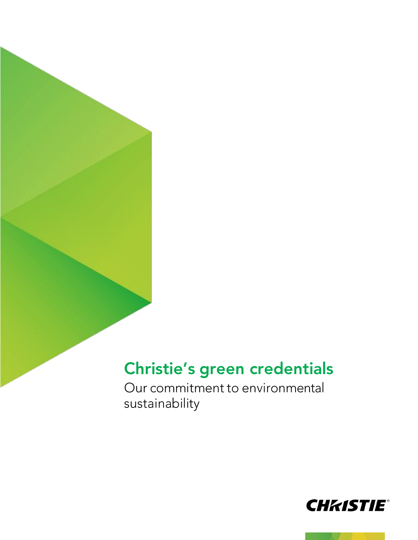# Christie's green credentials

Our commitment to environmental sustainability

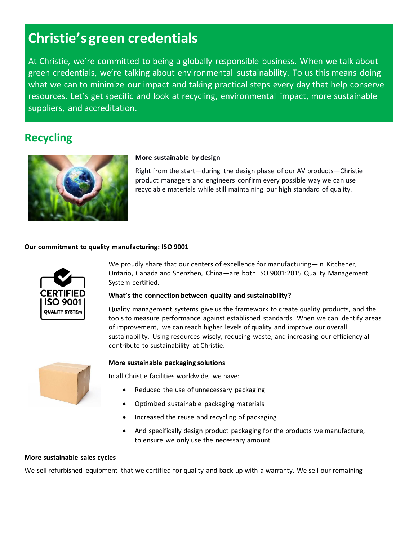## **Christie's green credentials**

At Christie, we're committed to being a globally responsible business. When we talk about green credentials, we're talking about environmental sustainability. To us this means doing what we can to minimize our impact and taking practical steps every day that help conserve resources. Let's get specific and look at recycling, environmental impact, more sustainable suppliers, and accreditation.

### **Recycling**



#### **More sustainable by design**

Right from the start—during the design phase of our AV products—Christie product managers and engineers confirm every possible way we can use recyclable materials while still maintaining our high standard of quality.

#### **Our commitment to quality manufacturing: ISO 9001**



We proudly share that our centers of excellence for manufacturing—in Kitchener, Ontario, Canada and Shenzhen, China—are both ISO 9001:2015 Quality Management System-certified.

#### **What's the connection between quality and sustainability?**

Quality management systems give us the framework to create quality products, and the tools to measure performance against established standards. When we can identify areas of improvement, we can reach higher levels of quality and improve our overall sustainability. Using resources wisely, reducing waste, and increasing our efficiency all contribute to sustainability at Christie.



#### **More sustainable packaging solutions**

In all Christie facilities worldwide, we have:

- Reduced the use of unnecessary packaging
- Optimized sustainable packaging materials
- Increased the reuse and recycling of packaging
- And specifically design product packaging for the products we manufacture, to ensure we only use the necessary amount

#### **More sustainable sales cycles**

We sell refurbished equipment that we certified for quality and back up with a warranty. We sell our remaining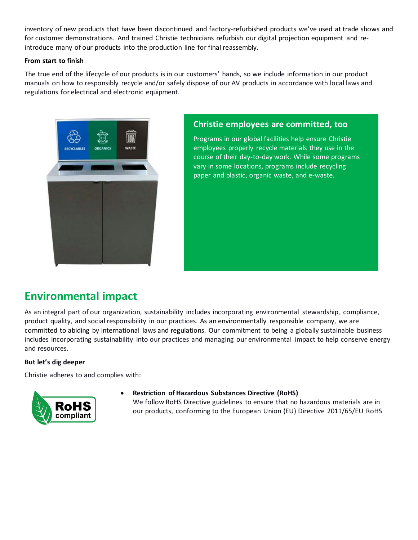inventory of new products that have been discontinued and factory-refurbished products we've used at trade shows and for customer demonstrations. And trained Christie technicians refurbish our digital projection equipment and reintroduce many of our products into the production line for final reassembly.

#### **From start to finish**

The true end of the lifecycle of our products is in our customers' hands, so we include information in our product manuals on how to responsibly recycle and/or safely dispose of our AV products in accordance with local laws and regulations for electrical and electronic equipment.



#### **Christie employees are committed, too**

Programs in our global facilities help ensure Christie employees properly recycle materials they use in the course of their day-to-day work. While some programs vary in some locations, programs include recycling paper and plastic, organic waste, and e-waste.

## **Environmental impact**

As an integral part of our organization, sustainability includes incorporating environmental stewardship, compliance, product quality, and social responsibility in our practices. As an environmentally responsible company, we are committed to abiding by international laws and regulations. Our commitment to being a globally sustainable business includes incorporating sustainability into our practices and managing our environmental impact to help conserve energy and resources.

#### **But let's dig deeper**

Christie adheres to and complies with:



• **Restriction of Hazardous Substances Directive (RoHS)**

We follow RoHS Directive guidelines to ensure that no hazardous materials are in our products, conforming to the European Union (EU) Directive 2011/65/EU RoHS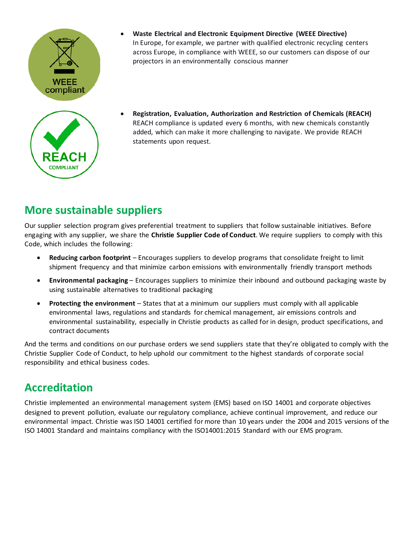



- **Waste Electrical and Electronic Equipment Directive (WEEE Directive)** In Europe, for example, we partner with qualified electronic recycling centers across Europe, in compliance with WEEE, so our customers can dispose of our projectors in an environmentally conscious manner
- **Registration, Evaluation, Authorization and Restriction of Chemicals (REACH)** REACH compliance is updated every 6 months, with new chemicals constantly added, which can make it more challenging to navigate. We provide REACH statements upon request.

## **More sustainable suppliers**

Our supplier selection program gives preferential treatment to suppliers that follow sustainable initiatives. Before engaging with any supplier, we share the **Christie Supplier Code of Conduct**. We require suppliers to comply with this Code, which includes the following:

- **Reducing carbon footprint** Encourages suppliers to develop programs that consolidate freight to limit shipment frequency and that minimize carbon emissions with environmentally friendly transport methods
- **Environmental packaging** Encourages suppliers to minimize their inbound and outbound packaging waste by using sustainable alternatives to traditional packaging
- **Protecting the environment** States that at a minimum our suppliers must comply with all applicable environmental laws, regulations and standards for chemical management, air emissions controls and environmental sustainability, especially in Christie products as called for in design, product specifications, and contract documents

And the terms and conditions on our purchase orders we send suppliers state that they're obligated to comply with the Christie Supplier Code of Conduct, to help uphold our commitment to the highest standards of corporate social responsibility and ethical business codes.

## **Accreditation**

Christie implemented an environmental management system (EMS) based on ISO 14001 and corporate objectives designed to prevent pollution, evaluate our regulatory compliance, achieve continual improvement, and reduce our environmental impact. Christie was ISO 14001 certified for more than 10 years under the 2004 and 2015 versions of the ISO 14001 Standard and maintains compliancy with the ISO14001:2015 Standard with our EMS program.